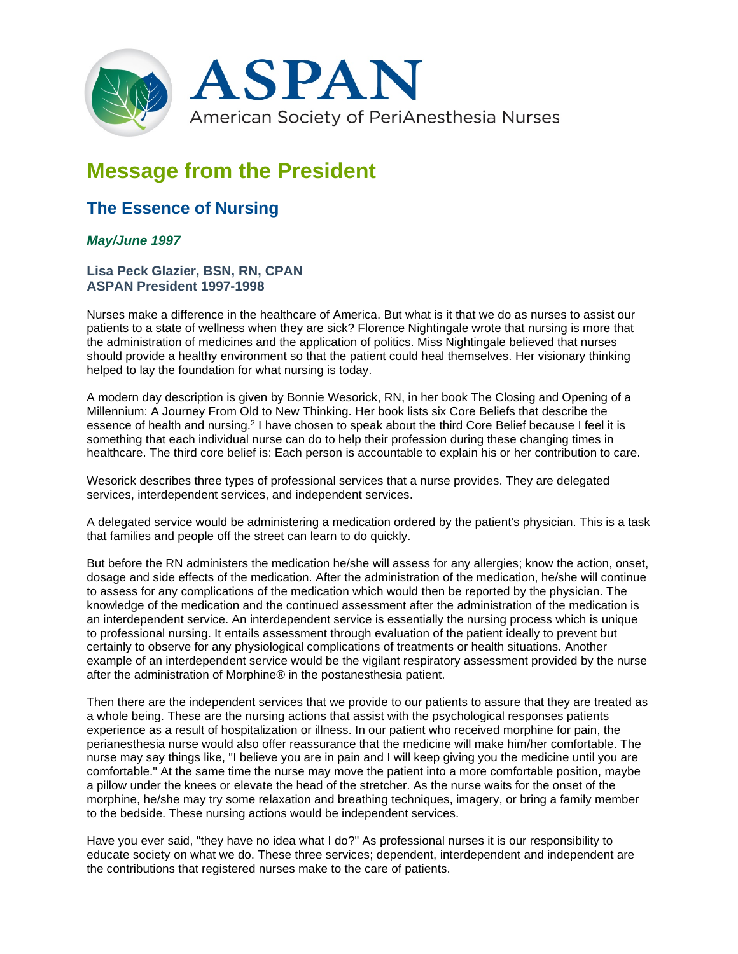

## **Message from the President**

## **The Essence of Nursing**

## *May/June 1997*

**Lisa Peck Glazier, BSN, RN, CPAN ASPAN President 1997-1998**

Nurses make a difference in the healthcare of America. But what is it that we do as nurses to assist our patients to a state of wellness when they are sick? Florence Nightingale wrote that nursing is more that the administration of medicines and the application of politics. Miss Nightingale believed that nurses should provide a healthy environment so that the patient could heal themselves. Her visionary thinking helped to lay the foundation for what nursing is today.

A modern day description is given by Bonnie Wesorick, RN, in her book The Closing and Opening of a Millennium: A Journey From Old to New Thinking. Her book lists six Core Beliefs that describe the essence of health and nursing.2 I have chosen to speak about the third Core Belief because I feel it is something that each individual nurse can do to help their profession during these changing times in healthcare. The third core belief is: Each person is accountable to explain his or her contribution to care.

Wesorick describes three types of professional services that a nurse provides. They are delegated services, interdependent services, and independent services.

A delegated service would be administering a medication ordered by the patient's physician. This is a task that families and people off the street can learn to do quickly.

But before the RN administers the medication he/she will assess for any allergies; know the action, onset, dosage and side effects of the medication. After the administration of the medication, he/she will continue to assess for any complications of the medication which would then be reported by the physician. The knowledge of the medication and the continued assessment after the administration of the medication is an interdependent service. An interdependent service is essentially the nursing process which is unique to professional nursing. It entails assessment through evaluation of the patient ideally to prevent but certainly to observe for any physiological complications of treatments or health situations. Another example of an interdependent service would be the vigilant respiratory assessment provided by the nurse after the administration of Morphine® in the postanesthesia patient.

Then there are the independent services that we provide to our patients to assure that they are treated as a whole being. These are the nursing actions that assist with the psychological responses patients experience as a result of hospitalization or illness. In our patient who received morphine for pain, the perianesthesia nurse would also offer reassurance that the medicine will make him/her comfortable. The nurse may say things like, "I believe you are in pain and I will keep giving you the medicine until you are comfortable." At the same time the nurse may move the patient into a more comfortable position, maybe a pillow under the knees or elevate the head of the stretcher. As the nurse waits for the onset of the morphine, he/she may try some relaxation and breathing techniques, imagery, or bring a family member to the bedside. These nursing actions would be independent services.

Have you ever said, "they have no idea what I do?" As professional nurses it is our responsibility to educate society on what we do. These three services; dependent, interdependent and independent are the contributions that registered nurses make to the care of patients.